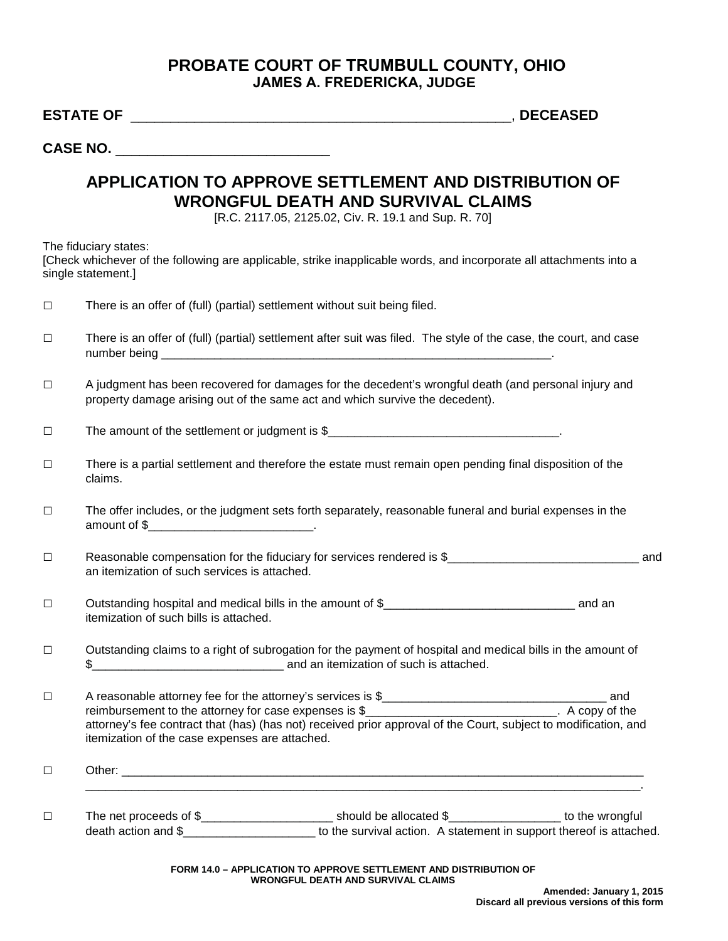## **PROBATE COURT OF TRUMBULL COUNTY, OHIO JAMES A. FREDERICKA, JUDGE**

**ESTATE OF** \_\_\_\_\_\_\_\_\_\_\_\_\_\_\_\_\_\_\_\_\_\_\_\_\_\_\_\_\_\_\_\_\_\_\_\_\_\_\_\_\_\_\_\_\_\_\_\_, **DECEASED**

**CASE NO.** \_\_\_\_\_\_\_\_\_\_\_\_\_\_\_\_\_\_\_\_\_\_\_\_\_\_\_

## **APPLICATION TO APPROVE SETTLEMENT AND DISTRIBUTION OF WRONGFUL DEATH AND SURVIVAL CLAIMS**

[R.C. 2117.05, 2125.02, Civ. R. 19.1 and Sup. R. 70]

The fiduciary states:

[Check whichever of the following are applicable, strike inapplicable words, and incorporate all attachments into a single statement.]

| $\Box$ | There is an offer of (full) (partial) settlement without suit being filed.                                                                                                                                                                                                                                   |
|--------|--------------------------------------------------------------------------------------------------------------------------------------------------------------------------------------------------------------------------------------------------------------------------------------------------------------|
| $\Box$ | There is an offer of (full) (partial) settlement after suit was filed. The style of the case, the court, and case                                                                                                                                                                                            |
| $\Box$ | A judgment has been recovered for damages for the decedent's wrongful death (and personal injury and<br>property damage arising out of the same act and which survive the decedent).                                                                                                                         |
| $\Box$ | The amount of the settlement or judgment is \$                                                                                                                                                                                                                                                               |
| $\Box$ | There is a partial settlement and therefore the estate must remain open pending final disposition of the<br>claims.                                                                                                                                                                                          |
| $\Box$ | The offer includes, or the judgment sets forth separately, reasonable funeral and burial expenses in the<br>amount of \$_________________________________.                                                                                                                                                   |
| $\Box$ | Reasonable compensation for the fiduciary for services rendered is \$<br>an itemization of such services is attached.                                                                                                                                                                                        |
| $\Box$ | itemization of such bills is attached.                                                                                                                                                                                                                                                                       |
| $\Box$ | Outstanding claims to a right of subrogation for the payment of hospital and medical bills in the amount of                                                                                                                                                                                                  |
| $\Box$ | reimbursement to the attorney for case expenses is $\frac{1}{2}$ [10] $\frac{1}{2}$ [10] $\frac{1}{2}$ [10] $\frac{1}{2}$ A copy of the<br>attorney's fee contract that (has) (has not) received prior approval of the Court, subject to modification, and<br>itemization of the case expenses are attached. |
| $\Box$ |                                                                                                                                                                                                                                                                                                              |
| $\Box$ | The net proceeds of \$______________________________should be allocated \$_____________________ to the wrongful<br>death action and \$__________________________ to the survival action. A statement in support thereof is attached.                                                                         |

**FORM 14.0 – APPLICATION TO APPROVE SETTLEMENT AND DISTRIBUTION OF WRONGFUL DEATH AND SURVIVAL CLAIMS**